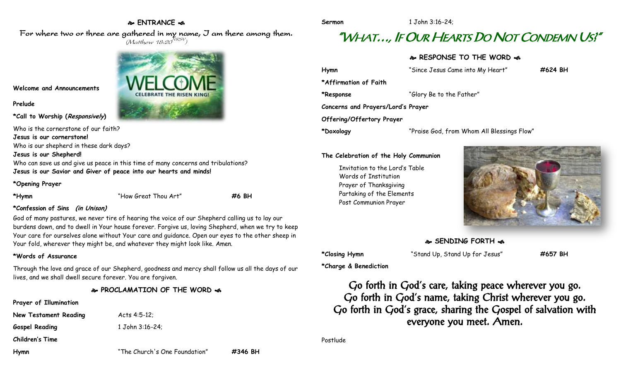## **ENTRANCE**

For where two or three are gathered in my name, I am there among them.  $(M$ atthew 18:20 $^{NRSV})$ 



**Welcome and Announcements**

#### **Prelude**

**\*Call to Worship (Responsively)** 

Who is the cornerstone of our faith?

**Jesus is our cornerstone!**

Who is our shepherd in these dark days?

#### **Jesus is our Shepherd!**

Who can save us and give us peace in this time of many concerns and tribulations? **Jesus is our Savior and Giver of peace into our hearts and minds!**

### **\*Opening Prayer**

**\*Hymn** "How Great Thou Art" **#6 BH**

## **\*Confession of Sins (in Unison)**

God of many pastures, we never tire of hearing the voice of our Shepherd calling us to lay our burdens down, and to dwell in Your house forever. Forgive us, loving Shepherd, when we try to keep Your care for ourselves alone without Your care and guidance. Open our eyes to the other sheep in Your fold, wherever they might be, and whatever they might look like. Amen.

#### **\*Words of Assurance**

Through the love and grace of our Shepherd, goodness and mercy shall follow us all the days of our lives, and we shall dwell secure forever. You are forgiven.

# **PROCLAMATION OF THE WORD**

**Prayer of Illumination**

**New Testament Reading Acts 4:5-12; Gospel Reading** 1 John 3:16-24;

**Children's Time**



**Sermon** 1 John 3:16-24;

# "WHAT…, IF OUR HEARTS DO NOT CONDEMN US?"

**RESPONSE TO THE WORD** 

| Hymn                               | "Since Jesus Came into My Heart"           | #624 BH |
|------------------------------------|--------------------------------------------|---------|
| *Affirmation of Faith              |                                            |         |
| *Response                          | "Glory Be to the Father"                   |         |
| Concerns and Prayers/Lord's Prayer |                                            |         |
| Offering/Offertory Prayer          |                                            |         |
| *Doxology                          | "Praise God, from Whom All Blessings Flow" |         |

**The Celebration of the Holy Communion**

Invitation to the Lord's Table Words of Institution Prayer of Thanksgiving Partaking of the Elements Post Communion Prayer



**SENDING FORTH** 

**\*Closing Hymn** "Stand Up, Stand Up for Jesus" **#657 BH**

**\*Charge & Benediction**

Go forth in God's care, taking peace wherever you go. Go forth in God's name, taking Christ wherever you go. Go forth in God's grace, sharing the Gospel of salvation with everyone you meet. Amen.

Postlude